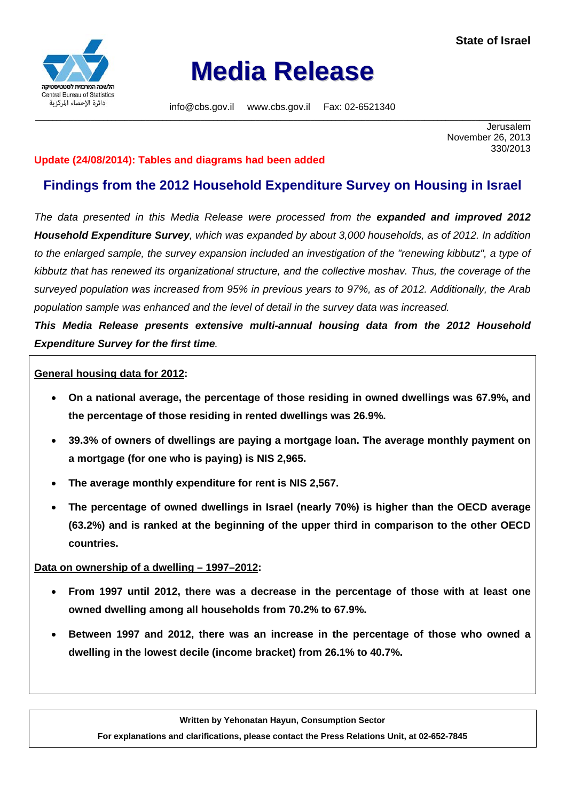

# **Media Release**

info@cbs.gov.il www.cbs.gov.il Fax: 02-6521340 \_\_\_\_\_\_\_\_\_\_\_\_\_\_\_\_\_\_\_\_\_\_\_\_\_\_\_\_\_\_\_\_\_\_\_\_\_\_\_\_\_\_\_\_\_\_\_\_\_\_\_\_\_\_\_\_\_\_\_\_\_\_\_\_\_\_\_\_\_\_\_\_\_\_\_\_\_\_\_\_\_\_\_\_\_\_\_\_\_\_\_\_\_\_\_\_\_\_\_\_\_\_\_\_\_\_\_\_\_\_\_\_\_\_\_\_\_

Jerusalem November 26, 2013 330/2013

### **Update (24/08/2014): Tables and diagrams had been added**

# **Findings from the 2012 Household Expenditure Survey on Housing in Israel**

*The data presented in this Media Release were processed from the expanded and improved 2012 Household Expenditure Survey, which was expanded by about 3,000 households, as of 2012. In addition to the enlarged sample, the survey expansion included an investigation of the "renewing kibbutz", a type of kibbutz that has renewed its organizational structure, and the collective moshav. Thus, the coverage of the surveyed population was increased from 95% in previous years to 97%, as of 2012. Additionally, the Arab population sample was enhanced and the level of detail in the survey data was increased.* 

*This Media Release presents extensive multi-annual housing data from the 2012 Household Expenditure Survey for the first time.* 

#### **General housing data for 2012:**

- **On a national average, the percentage of those residing in owned dwellings was 67.9%, and the percentage of those residing in rented dwellings was 26.9%.**
- **39.3% of owners of dwellings are paying a mortgage loan. The average monthly payment on a mortgage (for one who is paying) is NIS 2,965.**
- **The average monthly expenditure for rent is NIS 2,567.**
- **The percentage of owned dwellings in Israel (nearly 70%) is higher than the OECD average (63.2%) and is ranked at the beginning of the upper third in comparison to the other OECD countries.**

#### **Data on ownership of a dwelling – 1997–2012:**

- **From 1997 until 2012, there was a decrease in the percentage of those with at least one owned dwelling among all households from 70.2% to 67.9%.**
- **Between 1997 and 2012, there was an increase in the percentage of those who owned a dwelling in the lowest decile (income bracket) from 26.1% to 40.7%.**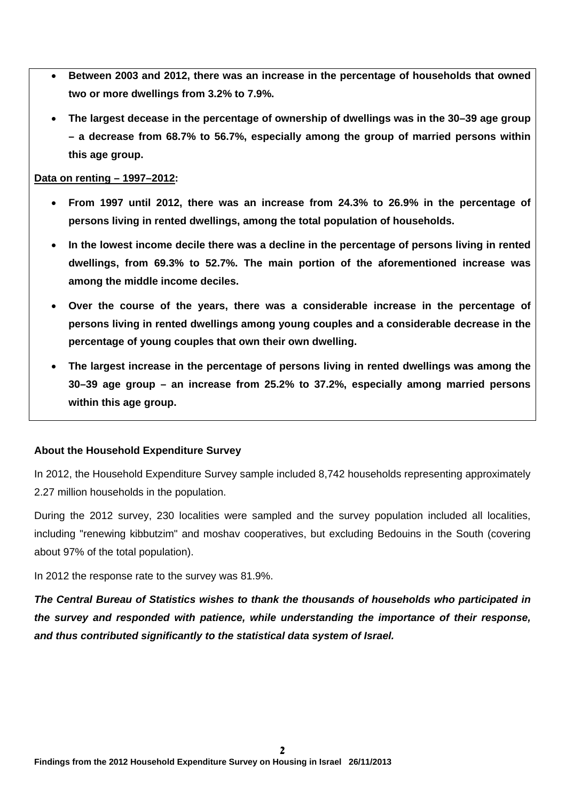- **Between 2003 and 2012, there was an increase in the percentage of households that owned two or more dwellings from 3.2% to 7.9%.**
- **The largest decease in the percentage of ownership of dwellings was in the 30–39 age group – a decrease from 68.7% to 56.7%, especially among the group of married persons within this age group.**

#### **Data on renting – 1997–2012:**

- **From 1997 until 2012, there was an increase from 24.3% to 26.9% in the percentage of persons living in rented dwellings, among the total population of households.**
- **In the lowest income decile there was a decline in the percentage of persons living in rented dwellings, from 69.3% to 52.7%. The main portion of the aforementioned increase was among the middle income deciles.**
- **Over the course of the years, there was a considerable increase in the percentage of persons living in rented dwellings among young couples and a considerable decrease in the percentage of young couples that own their own dwelling.**
- **The largest increase in the percentage of persons living in rented dwellings was among the 30–39 age group – an increase from 25.2% to 37.2%, especially among married persons within this age group.**

#### **About the Household Expenditure Survey**

In 2012, the Household Expenditure Survey sample included 8,742 households representing approximately 2.27 million households in the population.

During the 2012 survey, 230 localities were sampled and the survey population included all localities, including "renewing kibbutzim" and moshav cooperatives, but excluding Bedouins in the South (covering about 97% of the total population).

In 2012 the response rate to the survey was 81.9%.

*The Central Bureau of Statistics wishes to thank the thousands of households who participated in the survey and responded with patience, while understanding the importance of their response, and thus contributed significantly to the statistical data system of Israel.*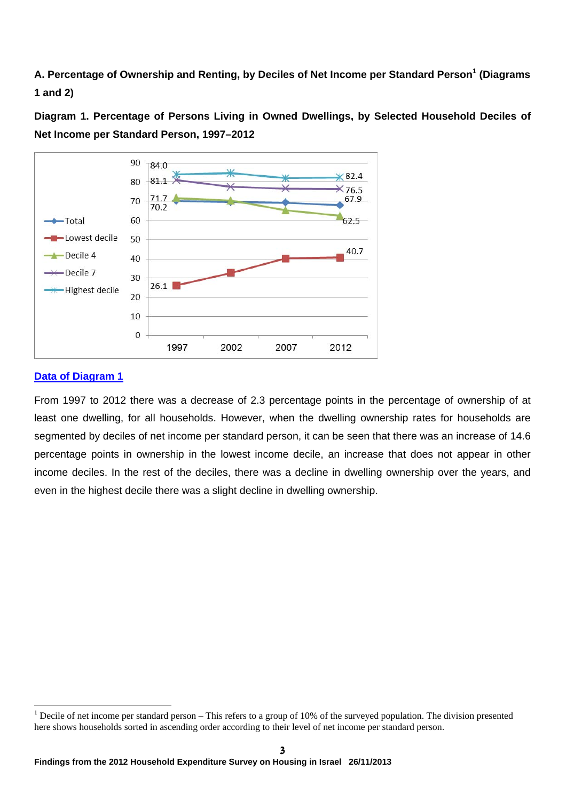**A. Percentage of Ownership and Renting, by Deciles of Net Income per Standard Person<sup>1</sup> (Diagrams 1 and 2)** 

**Diagram 1. Percentage of Persons Living in Owned Dwellings, by Selected Household Deciles of Net Income per Standard Person, 1997–2012** 



#### **Data of Diagram 1**

From 1997 to 2012 there was a decrease of 2.3 percentage points in the percentage of ownership of at least one dwelling, for all households. However, when the dwelling ownership rates for households are segmented by deciles of net income per standard person, it can be seen that there was an increase of 14.6 percentage points in ownership in the lowest income decile, an increase that does not appear in other income deciles. In the rest of the deciles, there was a decline in dwelling ownership over the years, and even in the highest decile there was a slight decline in dwelling ownership.

<sup>&</sup>lt;sup>1</sup> Decile of net income per standard person – This refers to a group of 10% of the surveyed population. The division presented here shows households sorted in ascending order according to their level of net income per standard person.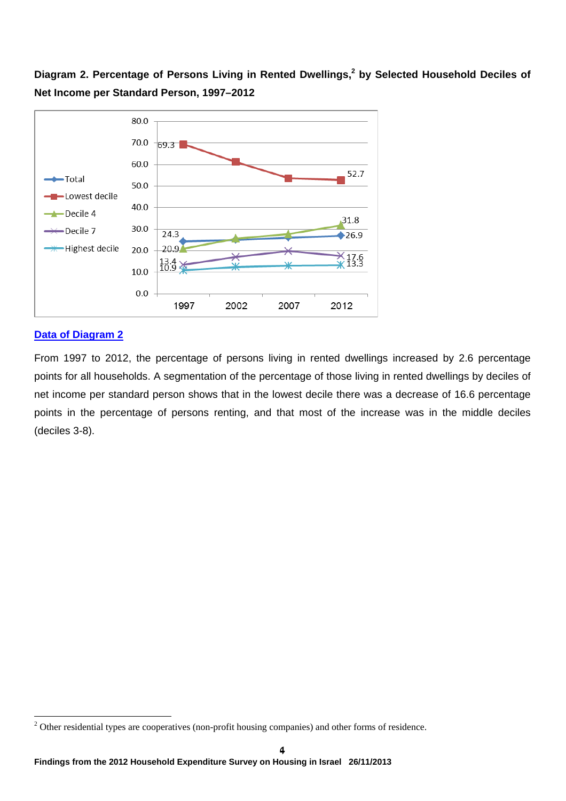Diagram 2. Percentage of Persons Living in Rented Dwellings,<sup>2</sup> by Selected Household Deciles of **Net Income per Standard Person, 1997–2012** 



#### **Data of Diagram 2**

From 1997 to 2012, the percentage of persons living in rented dwellings increased by 2.6 percentage points for all households. A segmentation of the percentage of those living in rented dwellings by deciles of net income per standard person shows that in the lowest decile there was a decrease of 16.6 percentage points in the percentage of persons renting, and that most of the increase was in the middle deciles (deciles 3-8).

 $2$  Other residential types are cooperatives (non-profit housing companies) and other forms of residence.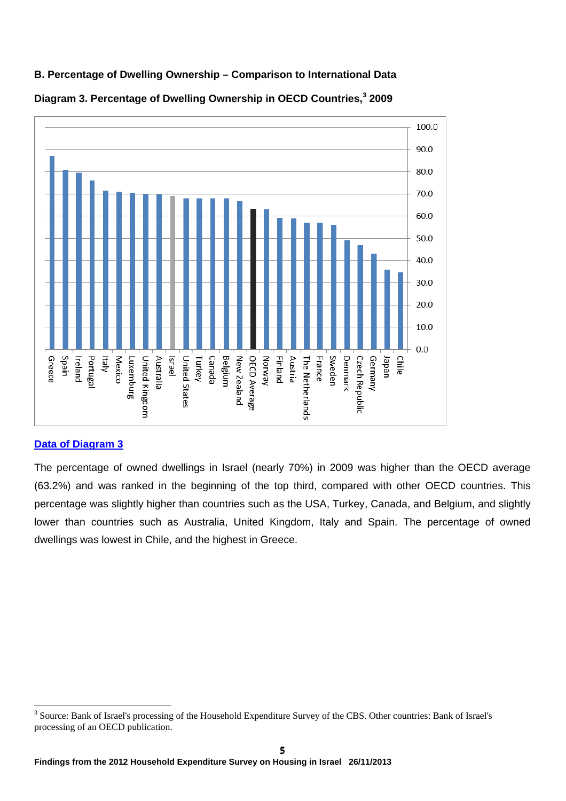

# **B. Percentage of Dwelling Ownership – Comparison to International Data**



# **Data of Diagram 3**

The percentage of owned dwellings in Israel (nearly 70%) in 2009 was higher than the OECD average (63.2%) and was ranked in the beginning of the top third, compared with other OECD countries. This percentage was slightly higher than countries such as the USA, Turkey, Canada, and Belgium, and slightly lower than countries such as Australia, United Kingdom, Italy and Spain. The percentage of owned dwellings was lowest in Chile, and the highest in Greece.

<sup>&</sup>lt;sup>3</sup> Source: Bank of Israel's processing of the Household Expenditure Survey of the CBS. Other countries: Bank of Israel's processing of an OECD publication.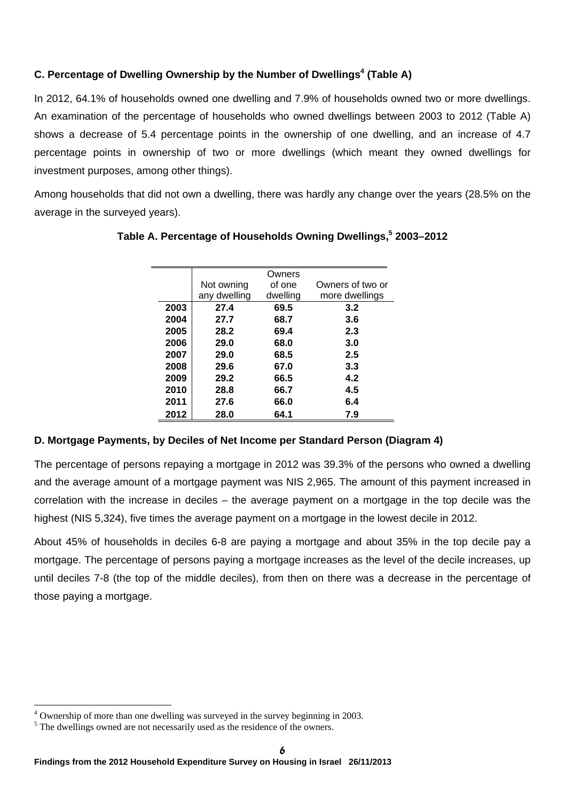# **C. Percentage of Dwelling Ownership by the Number of Dwellings<sup>4</sup> (Table A)**

÷

In 2012, 64.1% of households owned one dwelling and 7.9% of households owned two or more dwellings. An examination of the percentage of households who owned dwellings between 2003 to 2012 (Table A) shows a decrease of 5.4 percentage points in the ownership of one dwelling, and an increase of 4.7 percentage points in ownership of two or more dwellings (which meant they owned dwellings for investment purposes, among other things).

Among households that did not own a dwelling, there was hardly any change over the years (28.5% on the average in the surveyed years).

|      |              | Owners   |                  |
|------|--------------|----------|------------------|
|      | Not owning   | of one   | Owners of two or |
|      | any dwelling | dwelling | more dwellings   |
| 2003 | 27.4         | 69.5     | 3.2              |
| 2004 | 27.7         | 68.7     | 3.6              |
| 2005 | 28.2         | 69.4     | 2.3              |
| 2006 | 29.0         | 68.0     | 3.0              |
| 2007 | 29.0         | 68.5     | 2.5              |
| 2008 | 29.6         | 67.0     | 3.3              |
| 2009 | 29.2         | 66.5     | 4.2              |
| 2010 | 28.8         | 66.7     | 4.5              |
| 2011 | 27.6         | 66.0     | 6.4              |
| 2012 | 28.0         | 64.1     | 7.9              |

# **Table A. Percentage of Households Owning Dwellings,5 2003–2012**

# **D. Mortgage Payments, by Deciles of Net Income per Standard Person (Diagram 4)**

The percentage of persons repaying a mortgage in 2012 was 39.3% of the persons who owned a dwelling and the average amount of a mortgage payment was NIS 2,965. The amount of this payment increased in correlation with the increase in deciles – the average payment on a mortgage in the top decile was the highest (NIS 5,324), five times the average payment on a mortgage in the lowest decile in 2012.

About 45% of households in deciles 6-8 are paying a mortgage and about 35% in the top decile pay a mortgage. The percentage of persons paying a mortgage increases as the level of the decile increases, up until deciles 7-8 (the top of the middle deciles), from then on there was a decrease in the percentage of those paying a mortgage.

<sup>&</sup>lt;sup>4</sup> Ownership of more than one dwelling was surveyed in the survey beginning in 2003.

<sup>&</sup>lt;sup>5</sup> The dwellings owned are not necessarily used as the residence of the owners.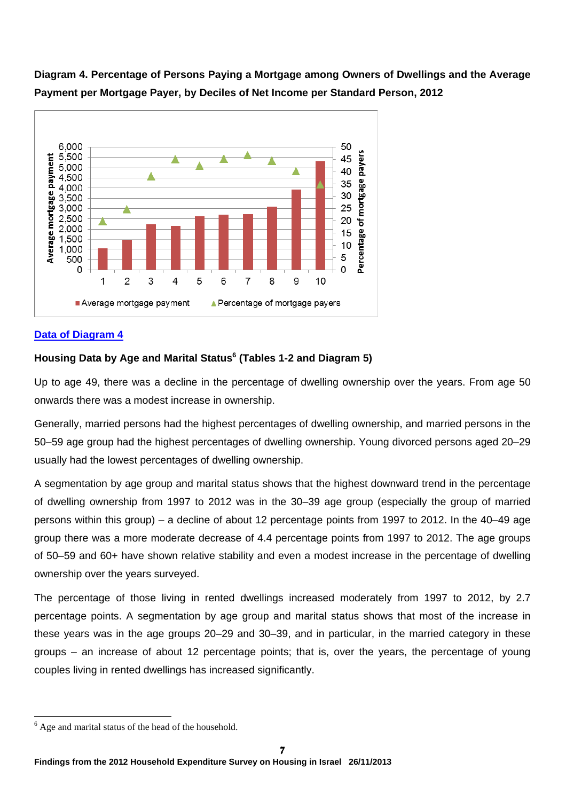

**Diagram 4. Percentage of Persons Paying a Mortgage among Owners of Dwellings and the Average Payment per Mortgage Payer, by Deciles of Net Income per Standard Person, 2012** 

# **Data of Diagram 4**

### **Housing Data by Age and Marital Status6 (Tables 1-2 and Diagram 5)**

Up to age 49, there was a decline in the percentage of dwelling ownership over the years. From age 50 onwards there was a modest increase in ownership.

Generally, married persons had the highest percentages of dwelling ownership, and married persons in the 50–59 age group had the highest percentages of dwelling ownership. Young divorced persons aged 20–29 usually had the lowest percentages of dwelling ownership.

A segmentation by age group and marital status shows that the highest downward trend in the percentage of dwelling ownership from 1997 to 2012 was in the 30–39 age group (especially the group of married persons within this group) – a decline of about 12 percentage points from 1997 to 2012. In the 40–49 age group there was a more moderate decrease of 4.4 percentage points from 1997 to 2012. The age groups of 50–59 and 60+ have shown relative stability and even a modest increase in the percentage of dwelling ownership over the years surveyed.

The percentage of those living in rented dwellings increased moderately from 1997 to 2012, by 2.7 percentage points. A segmentation by age group and marital status shows that most of the increase in these years was in the age groups 20–29 and 30–39, and in particular, in the married category in these groups – an increase of about 12 percentage points; that is, over the years, the percentage of young couples living in rented dwellings has increased significantly.

<sup>&</sup>lt;sup>6</sup> Age and marital status of the head of the household.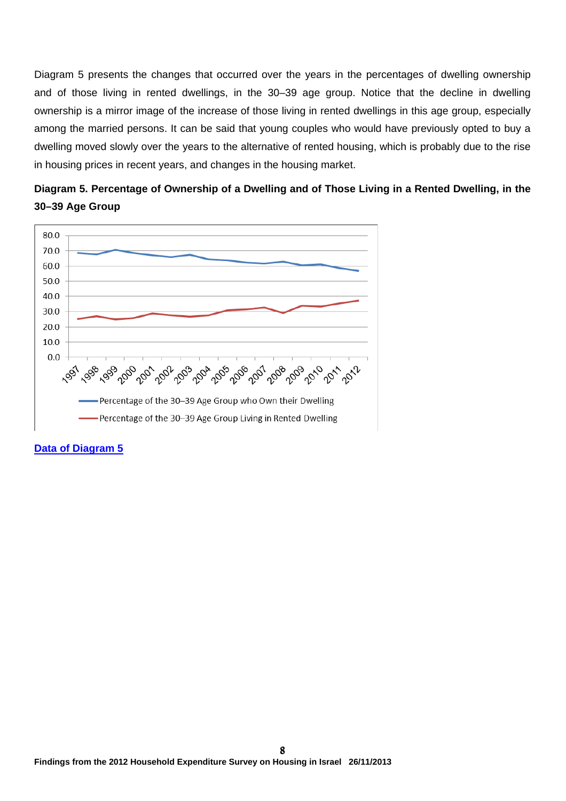Diagram 5 presents the changes that occurred over the years in the percentages of dwelling ownership and of those living in rented dwellings, in the 30–39 age group. Notice that the decline in dwelling ownership is a mirror image of the increase of those living in rented dwellings in this age group, especially among the married persons. It can be said that young couples who would have previously opted to buy a dwelling moved slowly over the years to the alternative of rented housing, which is probably due to the rise in housing prices in recent years, and changes in the housing market.





#### **Data of Diagram 5**